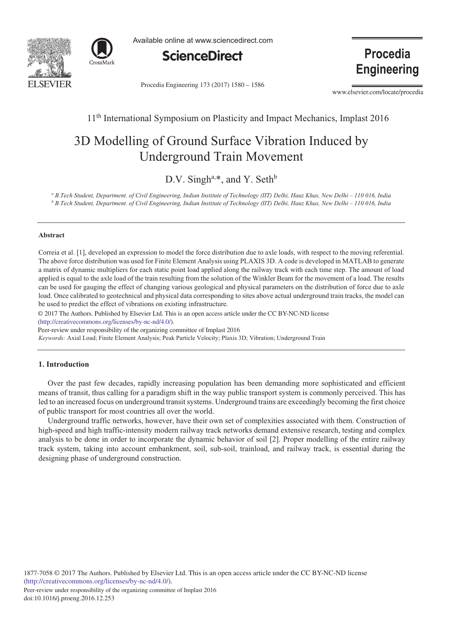



Available online at www.sciencedirect.com



Procedia Engineering 173 (2017) 1580 - 1586

**Procedia Engineering** 

www.elsevier.com/locate/procedia

# 11th International Symposium on Plasticity and Impact Mechanics, Implast 2016

# 3D Modelling of Ground Surface Vibration Induced by Underground Train Movement

D.V. Singh<sup>a,\*</sup>, and Y. Seth<sup>b</sup>

*<sup>a</sup> B.Tech Student, Department. of Civil Engineering, Indian Institute of Technology (IIT) Delhi, Hauz Khas, New Delhi – 110 016, India <sup>b</sup> B.Tech Student, Department. of Civil Engineering, Indian Institute of Technology (IIT) Delhi, Hauz Khas, New Delhi – 110 016, India*

#### **Abstract**

Correia et al. [1], developed an expression to model the force distribution due to axle loads, with respect to the moving referential. The above force distribution was used for Finite Element Analysis using PLAXIS 3D. A code is developed in MATLAB to generate a matrix of dynamic multipliers for each static point load applied along the railway track with each time step. The amount of load applied is equal to the axle load of the train resulting from the solution of the Winkler Beam for the movement of a load. The results can be used for gauging the effect of changing various geological and physical parameters on the distribution of force due to axle load. Once calibrated to geotechnical and physical data corresponding to sites above actual underground train tracks, the model can be used to predict the effect of vibrations on existing infrastructure.

© 2016 The Authors. Published by Elsevier Ltd. © 2017 The Authors. Published by Elsevier Ltd. This is an open access article under the CC BY-NC-ND license (http://creativecommons.org/licenses/by-nc-nd/4.0/).

Peer-review under responsibility of the organizing committee of Implast 2016

*Keywords:* Axial Load; Finite Element Analysis; Peak Particle Velocity; Plaxis 3D; Vibration; Underground Train

# **1. Introduction**

Over the past few decades, rapidly increasing population has been demanding more sophisticated and efficient means of transit, thus calling for a paradigm shift in the way public transport system is commonly perceived. This has led to an increased focus on underground transit systems. Underground trains are exceedingly becoming the first choice of public transport for most countries all over the world.

Underground traffic networks, however, have their own set of complexities associated with them. Construction of high-speed and high traffic-intensity modern railway track networks demand extensive research, testing and complex analysis to be done in order to incorporate the dynamic behavior of soil [2]. Proper modelling of the entire railway track system, taking into account embankment, soil, sub-soil, trainload, and railway track, is essential during the designing phase of underground construction.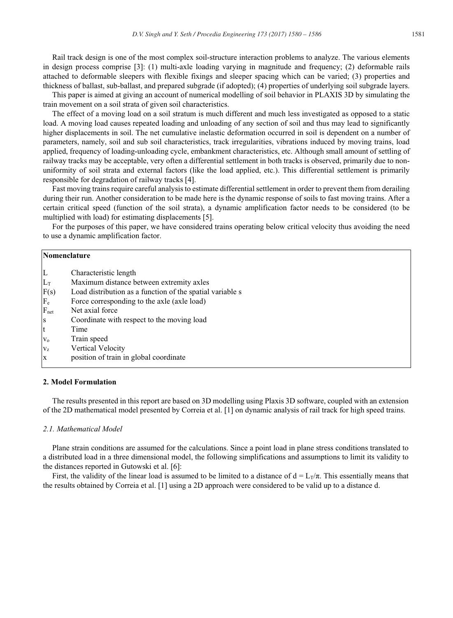Rail track design is one of the most complex soil-structure interaction problems to analyze. The various elements in design process comprise [3]: (1) multi-axle loading varying in magnitude and frequency; (2) deformable rails attached to deformable sleepers with flexible fixings and sleeper spacing which can be varied; (3) properties and thickness of ballast, sub-ballast, and prepared subgrade (if adopted); (4) properties of underlying soil subgrade layers.

This paper is aimed at giving an account of numerical modelling of soil behavior in PLAXIS 3D by simulating the train movement on a soil strata of given soil characteristics.

The effect of a moving load on a soil stratum is much different and much less investigated as opposed to a static load. A moving load causes repeated loading and unloading of any section of soil and thus may lead to significantly higher displacements in soil. The net cumulative inelastic deformation occurred in soil is dependent on a number of parameters, namely, soil and sub soil characteristics, track irregularities, vibrations induced by moving trains, load applied, frequency of loading-unloading cycle, embankment characteristics, etc. Although small amount of settling of railway tracks may be acceptable, very often a differential settlement in both tracks is observed, primarily due to nonuniformity of soil strata and external factors (like the load applied, etc.). This differential settlement is primarily responsible for degradation of railway tracks [4].

Fast moving trains require careful analysis to estimate differential settlement in order to prevent them from derailing during their run. Another consideration to be made here is the dynamic response of soils to fast moving trains. After a certain critical speed (function of the soil strata), a dynamic amplification factor needs to be considered (to be multiplied with load) for estimating displacements [5].

For the purposes of this paper, we have considered trains operating below critical velocity thus avoiding the need to use a dynamic amplification factor.

| Nomenclature |                                                           |  |
|--------------|-----------------------------------------------------------|--|
| L            | Characteristic length                                     |  |
| $L_T$        | Maximum distance between extremity axles                  |  |
| F(s)         | Load distribution as a function of the spatial variable s |  |
| $\rm{F}_{e}$ | Force corresponding to the axle (axle load)               |  |
| $F_{net}$    | Net axial force                                           |  |
| S            | Coordinate with respect to the moving load                |  |
| t            | Time                                                      |  |
| $V_0$        | Train speed                                               |  |
| $V_{Z}$      | Vertical Velocity                                         |  |
| X            | position of train in global coordinate                    |  |

#### **2. Model Formulation**

The results presented in this report are based on 3D modelling using Plaxis 3D software, coupled with an extension of the 2D mathematical model presented by Correia et al. [1] on dynamic analysis of rail track for high speed trains.

# *2.1. Mathematical Model*

Plane strain conditions are assumed for the calculations. Since a point load in plane stress conditions translated to a distributed load in a three dimensional model, the following simplifications and assumptions to limit its validity to the distances reported in Gutowski et al. [6]:

First, the validity of the linear load is assumed to be limited to a distance of  $d = L_7/\pi$ . This essentially means that the results obtained by Correia et al. [1] using a 2D approach were considered to be valid up to a distance d.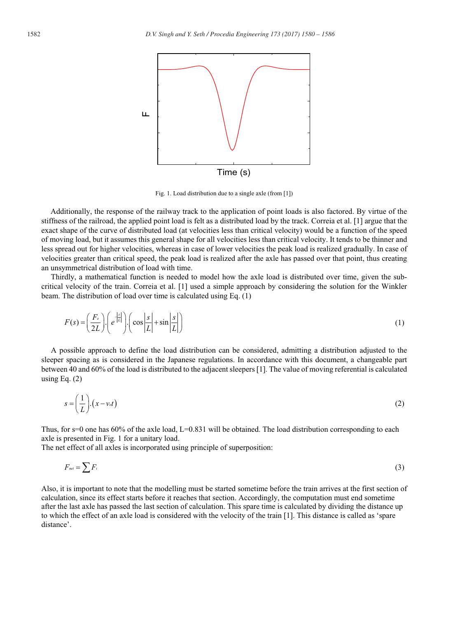

Fig. 1. Load distribution due to a single axle (from [1])

Additionally, the response of the railway track to the application of point loads is also factored. By virtue of the stiffness of the railroad, the applied point load is felt as a distributed load by the track. Correia et al. [1] argue that the exact shape of the curve of distributed load (at velocities less than critical velocity) would be a function of the speed of moving load, but it assumes this general shape for all velocities less than critical velocity. It tends to be thinner and less spread out for higher velocities, whereas in case of lower velocities the peak load is realized gradually. In case of velocities greater than critical speed, the peak load is realized after the axle has passed over that point, thus creating an unsymmetrical distribution of load with time.

Thirdly, a mathematical function is needed to model how the axle load is distributed over time, given the subcritical velocity of the train. Correia et al. [1] used a simple approach by considering the solution for the Winkler beam. The distribution of load over time is calculated using Eq. (1)

$$
F(s) = \left(\frac{F_e}{2L}\right) \left(e^{\frac{|s|}{|L|}}\right) \left(\cos\left|\frac{s}{L}\right| + \sin\left|\frac{s}{L}\right|\right) \tag{1}
$$

A possible approach to define the load distribution can be considered, admitting a distribution adjusted to the sleeper spacing as is considered in the Japanese regulations. In accordance with this document, a changeable part between 40 and 60% of the load is distributed to the adjacent sleepers [1]. The value of moving referential is calculated using Eq.  $(2)$ 

$$
s = \left(\frac{1}{L}\right) \cdot \left(x - v_{\text{of}}\right) \tag{2}
$$

Thus, for s=0 one has 60% of the axle load, L=0.831 will be obtained. The load distribution corresponding to each axle is presented in Fig. 1 for a unitary load.

The net effect of all axles is incorporated using principle of superposition:

$$
F_{net} = \sum F_i
$$
 (3)

Also, it is important to note that the modelling must be started sometime before the train arrives at the first section of calculation, since its effect starts before it reaches that section. Accordingly, the computation must end sometime after the last axle has passed the last section of calculation. This spare time is calculated by dividing the distance up to which the effect of an axle load is considered with the velocity of the train [1]. This distance is called as 'spare distance'.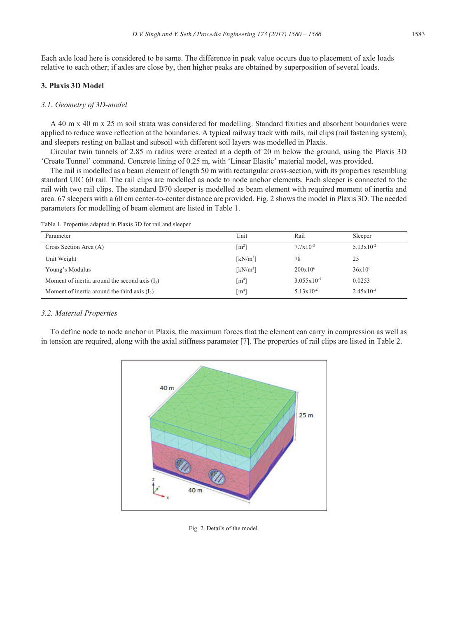Each axle load here is considered to be same. The difference in peak value occurs due to placement of axle loads relative to each other; if axles are close by, then higher peaks are obtained by superposition of several loads.

# **3. Plaxis 3D Model**

# *3.1. Geometry of 3D-model*

A 40 m x 40 m x 25 m soil strata was considered for modelling. Standard fixities and absorbent boundaries were applied to reduce wave reflection at the boundaries. A typical railway track with rails, rail clips (rail fastening system), and sleepers resting on ballast and subsoil with different soil layers was modelled in Plaxis.

Circular twin tunnels of 2.85 m radius were created at a depth of 20 m below the ground, using the Plaxis 3D 'Create Tunnel' command. Concrete lining of 0.25 m, with 'Linear Elastic' material model, was provided.

The rail is modelled as a beam element of length 50 m with rectangular cross-section, with its properties resembling standard UIC 60 rail. The rail clips are modelled as node to node anchor elements. Each sleeper is connected to the rail with two rail clips. The standard B70 sleeper is modelled as beam element with required moment of inertia and area. 67 sleepers with a 60 cm center-to-center distance are provided. Fig. 2 shows the model in Plaxis 3D. The needed parameters for modelling of beam element are listed in Table 1.

Table 1. Properties adapted in Plaxis 3D for rail and sleeper

| Parameter                                        | Unit                 | Rail                   | Sleeper               |
|--------------------------------------------------|----------------------|------------------------|-----------------------|
| Cross Section Area (A)                           | $\lceil m^2 \rceil$  | $7.7 \times 10^{-3}$   | $5.13 \times 10^{-2}$ |
| Unit Weight                                      | [kN/m <sup>3</sup> ] | 78                     | 25                    |
| Young's Modulus                                  | $[kN/m^3]$           | $200x10^6$             | $36x10^{6}$           |
| Moment of inertia around the second axis $(I_3)$ | $\lceil m^4 \rceil$  | $3.055 \times 10^{-5}$ | 0.0253                |
| Moment of inertia around the third axis $(I_2)$  | $\lceil m^4 \rceil$  | $5.13 \times 10^{-6}$  | $2.45 \times 10^{-4}$ |

#### *3.2. Material Properties*

To define node to node anchor in Plaxis, the maximum forces that the element can carry in compression as well as in tension are required, along with the axial stiffness parameter [7]. The properties of rail clips are listed in Table 2.



Fig. 2. Details of the model.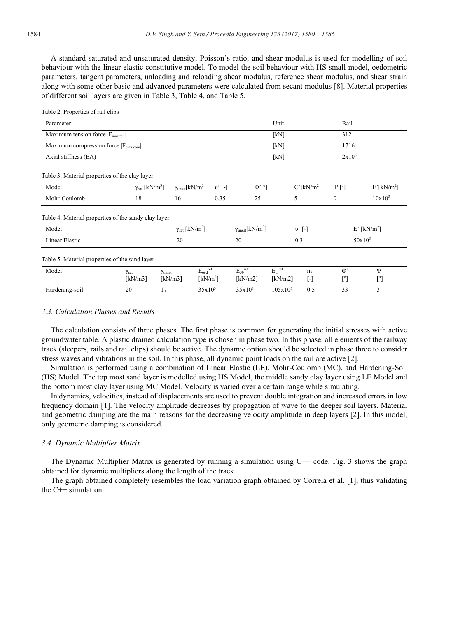A standard saturated and unsaturated density, Poisson's ratio, and shear modulus is used for modelling of soil behaviour with the linear elastic constitutive model. To model the soil behaviour with HS-small model, oedometric parameters, tangent parameters, unloading and reloading shear modulus, reference shear modulus, and shear strain along with some other basic and advanced parameters were calculated from secant modulus [8]. Material properties of different soil layers are given in Table 3, Table 4, and Table 5.

| Parameter                                                                                                |                                         |                                              |                               |                         | Unit                                                     |                   | Rail                      |                       |
|----------------------------------------------------------------------------------------------------------|-----------------------------------------|----------------------------------------------|-------------------------------|-------------------------|----------------------------------------------------------|-------------------|---------------------------|-----------------------|
| Maximum tension force $ F_{max,ten} $                                                                    |                                         |                                              |                               |                         | [kN]                                                     |                   | 312                       |                       |
| Maximum compression force $ F_{max.com} $<br>Axial stiffness (EA)                                        |                                         |                                              |                               |                         | [kN]                                                     |                   | 1716                      |                       |
|                                                                                                          |                                         |                                              |                               |                         | [kN]                                                     |                   |                           | $2x10^6$              |
| Table 3. Material properties of the clay layer                                                           |                                         |                                              |                               |                         |                                                          |                   |                           |                       |
| Model                                                                                                    | $\gamma_{\rm sat}$ [kN/m <sup>3</sup> ] | $\gamma_{\text{unsat}}$ [kN/m <sup>3</sup> ] | v'[.]                         | $\Phi$ '[°]             |                                                          | $C'[kN/m^2]$      | $\Psi$ [°]                | $E'[kN/m^2]$          |
| Mohr-Coulomb                                                                                             | 18                                      | 16                                           | 0.35                          | 25                      |                                                          | 5                 | $\theta$                  | $10x10^3$             |
| Table 4. Material properties of the sandy clay layer<br>Model<br>$\gamma_{\rm sat}$ [kN/m <sup>3</sup> ] |                                         |                                              |                               |                         | $\gamma_{\text{unsat}}$ [kN/m <sup>3</sup> ]<br>$v'$ [-] |                   | $E'$ [kN/m <sup>2</sup> ] |                       |
| Linear Elastic                                                                                           | 20                                      |                                              | 20                            | 0.3                     |                                                          | $50x10^3$         |                           |                       |
| Table 5. Material properties of the sand layer                                                           |                                         |                                              |                               |                         |                                                          |                   |                           |                       |
| Model                                                                                                    | $\gamma_{\text{sat}}$                   | Yunsat                                       | $E_{\text{oed}}^{\text{ref}}$ | $E_{50}$ <sup>ref</sup> | $E_{\rm ur}^{\rm ref}$                                   | m                 | $\Phi$                    | Ψ                     |
|                                                                                                          | [kN/m3]                                 | [kN/m3]                                      | [kN/m <sup>2</sup> ]          | [kN/m2]                 | [kN/m2]                                                  | $\lceil - \rceil$ | $\lceil$ <sup>o</sup>     | $\lceil$ <sup>o</sup> |
| Hardening-soil                                                                                           | 20                                      | 17                                           | $35x10^3$                     | $35x10^3$               | $105x10^3$                                               | 0.5               | 33                        | 3                     |

# *3.3. Calculation Phases and Results*

The calculation consists of three phases. The first phase is common for generating the initial stresses with active groundwater table. A plastic drained calculation type is chosen in phase two. In this phase, all elements of the railway track (sleepers, rails and rail clips) should be active. The dynamic option should be selected in phase three to consider stress waves and vibrations in the soil. In this phase, all dynamic point loads on the rail are active [2].

Simulation is performed using a combination of Linear Elastic (LE), Mohr-Coulomb (MC), and Hardening-Soil (HS) Model. The top most sand layer is modelled using HS Model, the middle sandy clay layer using LE Model and the bottom most clay layer using MC Model. Velocity is varied over a certain range while simulating.

In dynamics, velocities, instead of displacements are used to prevent double integration and increased errors in low frequency domain [1]. The velocity amplitude decreases by propagation of wave to the deeper soil layers. Material and geometric damping are the main reasons for the decreasing velocity amplitude in deep layers [2]. In this model, only geometric damping is considered.

#### *3.4. Dynamic Multiplier Matrix*

The Dynamic Multiplier Matrix is generated by running a simulation using  $C++$  code. Fig. 3 shows the graph obtained for dynamic multipliers along the length of the track.

The graph obtained completely resembles the load variation graph obtained by Correia et al. [1], thus validating the C++ simulation.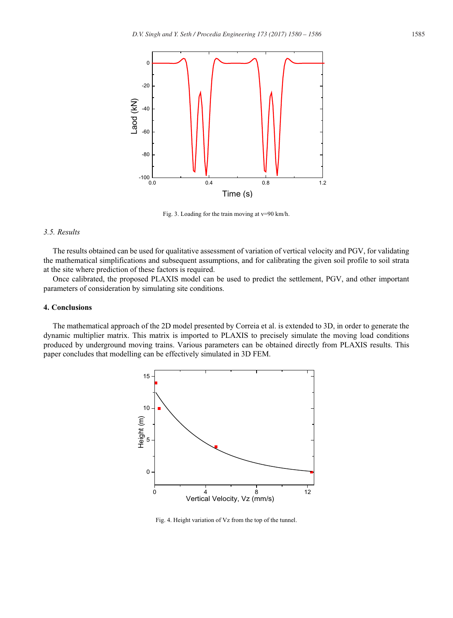

Fig. 3. Loading for the train moving at v=90 km/h.

# *3.5. Results*

The results obtained can be used for qualitative assessment of variation of vertical velocity and PGV, for validating the mathematical simplifications and subsequent assumptions, and for calibrating the given soil profile to soil strata at the site where prediction of these factors is required.

Once calibrated, the proposed PLAXIS model can be used to predict the settlement, PGV, and other important parameters of consideration by simulating site conditions.

# **4. Conclusions**

The mathematical approach of the 2D model presented by Correia et al. is extended to 3D, in order to generate the dynamic multiplier matrix. This matrix is imported to PLAXIS to precisely simulate the moving load conditions produced by underground moving trains. Various parameters can be obtained directly from PLAXIS results. This paper concludes that modelling can be effectively simulated in 3D FEM.



Fig. 4. Height variation of Vz from the top of the tunnel.